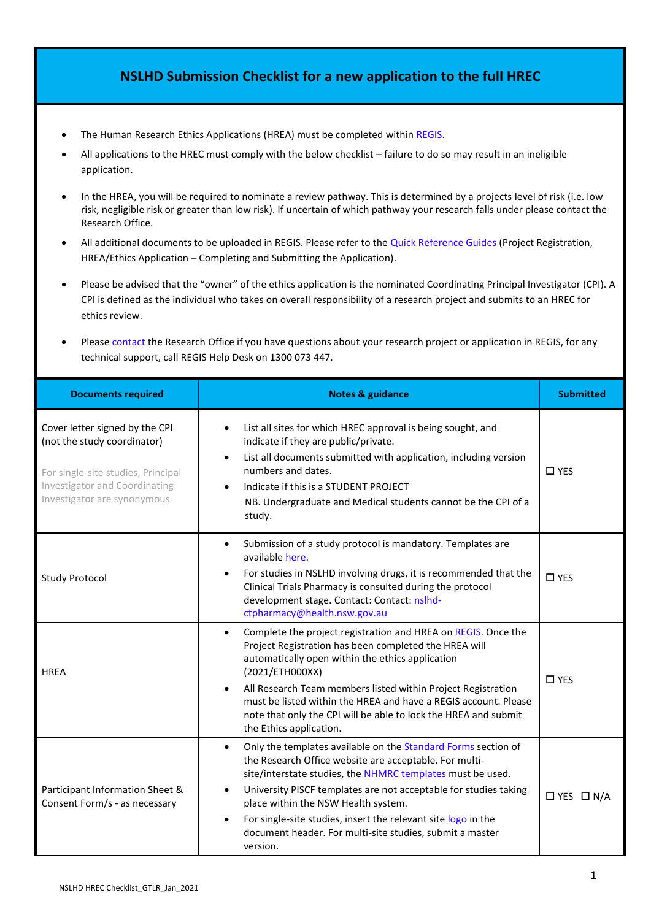## **NSLHD Submission Checklist for a new application to the full HREC**

- The Human Research Ethics Applications (HREA) must be completed within REGIS.
- All applications to the HREC must comply with the below checklist failure to do so may result in an ineligible application.
- In the HREA, you will be required to nominate a review pathway. This is determined by a projects level of risk (i.e. low risk, negligible risk or greater than low risk). If uncertain of which pathway your research falls under please contact the Research Office.
- All additional documents to be uploaded in REGIS. Please refer to the [Quick Reference Guides](https://regis.health.nsw.gov.au/how-to/) (Project Registration, HREA/Ethics Application – Completing and Submitting the Application).
- Please be advised that the "owner" of the ethics application is the nominated Coordinating Principal Investigator (CPI). A CPI is defined as the individual who takes on overall responsibility of a research project and submits to an HREC for ethics review.
- Pleas[e contact](https://www.nslhd.health.nsw.gov.au/Research/ResearchOffice/Pages/default.aspx) the Research Office if you have questions about your research project or application in REGIS, for any technical support, call REGIS Help Desk on 1300 073 447.

| <b>Documents required</b>                                                                                                                                           | <b>Notes &amp; guidance</b>                                                                                                                                                                                                                                                                                                                                                                                                               | <b>Submitted</b>      |
|---------------------------------------------------------------------------------------------------------------------------------------------------------------------|-------------------------------------------------------------------------------------------------------------------------------------------------------------------------------------------------------------------------------------------------------------------------------------------------------------------------------------------------------------------------------------------------------------------------------------------|-----------------------|
| Cover letter signed by the CPI<br>(not the study coordinator)<br>For single-site studies, Principal<br>Investigator and Coordinating<br>Investigator are synonymous | List all sites for which HREC approval is being sought, and<br>indicate if they are public/private.<br>List all documents submitted with application, including version<br>$\bullet$<br>numbers and dates.<br>Indicate if this is a STUDENT PROJECT<br>NB. Undergraduate and Medical students cannot be the CPI of a<br>study.                                                                                                            | $\square$ YES         |
| <b>Study Protocol</b>                                                                                                                                               | Submission of a study protocol is mandatory. Templates are<br>available here.<br>For studies in NSLHD involving drugs, it is recommended that the<br>Clinical Trials Pharmacy is consulted during the protocol<br>development stage. Contact: Contact: nslhd-<br>ctpharmacy@health.nsw.gov.au                                                                                                                                             | $\square$ YES         |
| <b>HREA</b>                                                                                                                                                         | Complete the project registration and HREA on REGIS. Once the<br>Project Registration has been completed the HREA will<br>automatically open within the ethics application<br>(2021/ETH000XX)<br>All Research Team members listed within Project Registration<br>must be listed within the HREA and have a REGIS account. Please<br>note that only the CPI will be able to lock the HREA and submit<br>the Ethics application.            | $\square$ YES         |
| Participant Information Sheet &<br>Consent Form/s - as necessary                                                                                                    | Only the templates available on the Standard Forms section of<br>the Research Office website are acceptable. For multi-<br>site/interstate studies, the NHMRC templates must be used.<br>University PISCF templates are not acceptable for studies taking<br>place within the NSW Health system.<br>For single-site studies, insert the relevant site logo in the<br>document header. For multi-site studies, submit a master<br>version. | $\Box$ YES $\Box$ N/A |